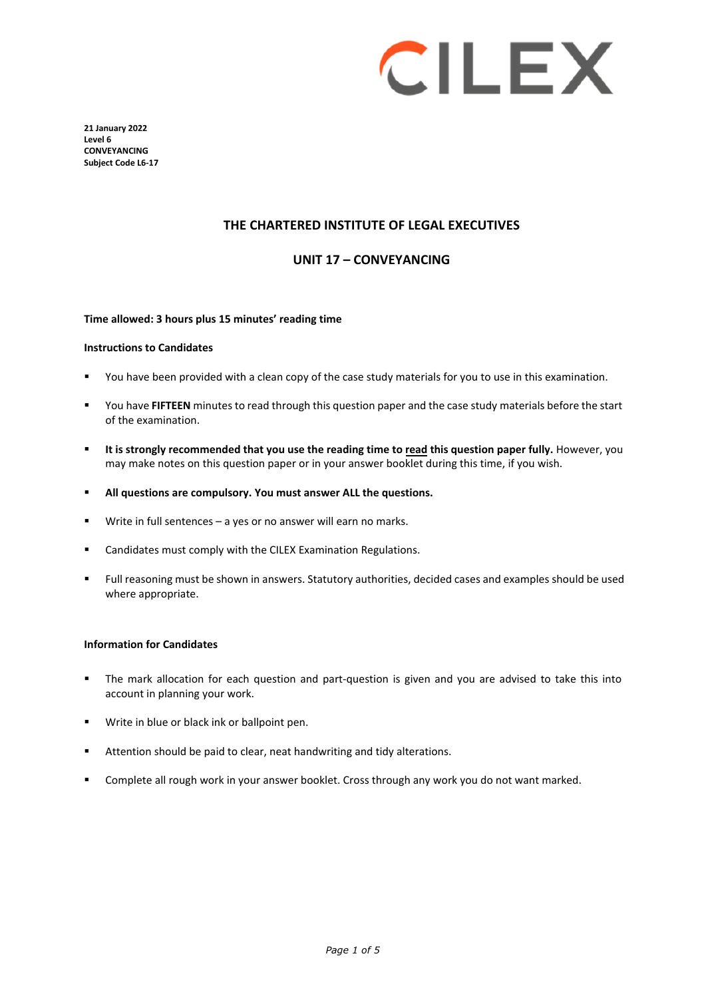

**21 January 2022 Level 6 CONVEYANCING Subject Code L6-17**

#### **THE CHARTERED INSTITUTE OF LEGAL EXECUTIVES**

#### **UNIT 17 – CONVEYANCING**

#### **Time allowed: 3 hours plus 15 minutes' reading time**

#### **Instructions to Candidates**

- You have been provided with a clean copy of the case study materials for you to use in this examination.
- You have **FIFTEEN** minutes to read through this question paper and the case study materials before the start of the examination.
- **It is strongly recommended that you use the reading time to read this question paper fully.** However, you may make notes on this question paper or in your answer booklet during this time, if you wish.
- **All questions are compulsory. You must answer ALL the questions.**
- Write in full sentences a yes or no answer will earn no marks.
- Candidates must comply with the CILEX Examination Regulations.
- Full reasoning must be shown in answers. Statutory authorities, decided cases and examples should be used where appropriate.

#### **Information for Candidates**

- The mark allocation for each question and part-question is given and you are advised to take this into account in planning your work.
- **Write in blue or black ink or ballpoint pen.**
- **EXTENDI** Attention should be paid to clear, neat handwriting and tidy alterations.
- Complete all rough work in your answer booklet. Cross through any work you do not want marked.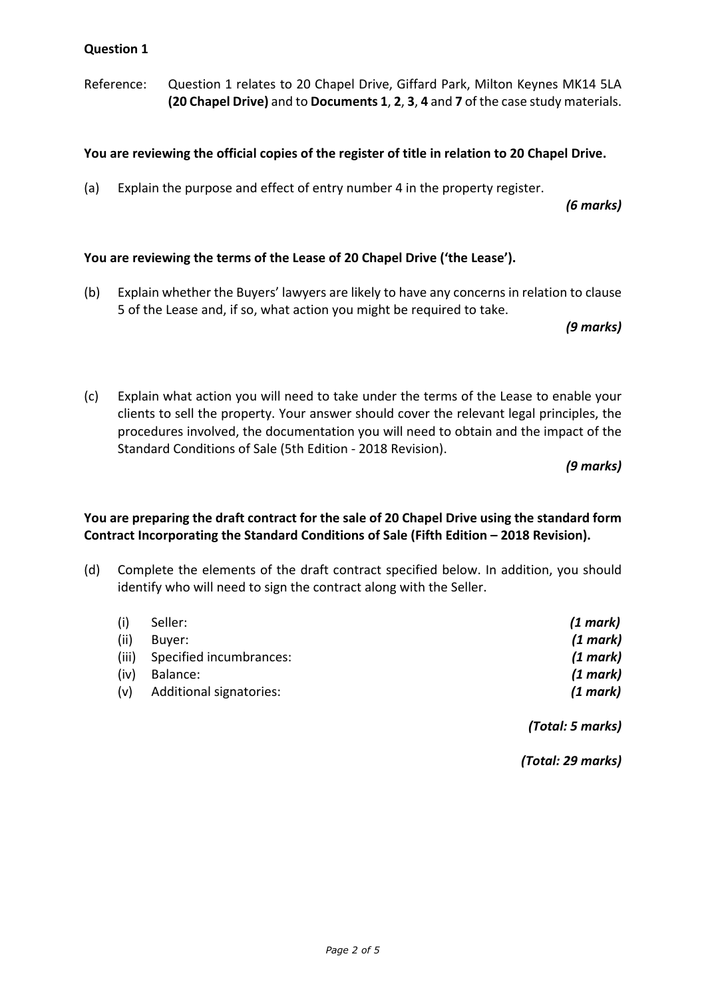Reference: Question 1 relates to 20 Chapel Drive, Giffard Park, Milton Keynes MK14 5LA **(20 Chapel Drive)** and to **Documents 1**, **2**, **3**, **4** and **7** of the case study materials.

## **You are reviewing the official copies of the register of title in relation to 20 Chapel Drive.**

(a) Explain the purpose and effect of entry number 4 in the property register.

*(6 marks)*

## **You are reviewing the terms of the Lease of 20 Chapel Drive ('the Lease').**

(b) Explain whether the Buyers' lawyers are likely to have any concerns in relation to clause 5 of the Lease and, if so, what action you might be required to take.

*(9 marks)*

(c) Explain what action you will need to take under the terms of the Lease to enable your clients to sell the property. Your answer should cover the relevant legal principles, the procedures involved, the documentation you will need to obtain and the impact of the Standard Conditions of Sale (5th Edition - 2018 Revision).

*(9 marks)*

# **You are preparing the draft contract for the sale of 20 Chapel Drive using the standard form Contract Incorporating the Standard Conditions of Sale (Fifth Edition – 2018 Revision).**

(d) Complete the elements of the draft contract specified below. In addition, you should identify who will need to sign the contract along with the Seller.

| (i)   | Seller:                 | (1 mark) |
|-------|-------------------------|----------|
| (ii)  | Buver:                  | (1 mark) |
| (iii) | Specified incumbrances: | (1 mark) |
| (iv)  | Balance:                | (1 mark) |
| (v)   | Additional signatories: | (1 mark) |
|       |                         |          |

*(Total: 5 marks)*

*(Total: 29 marks)*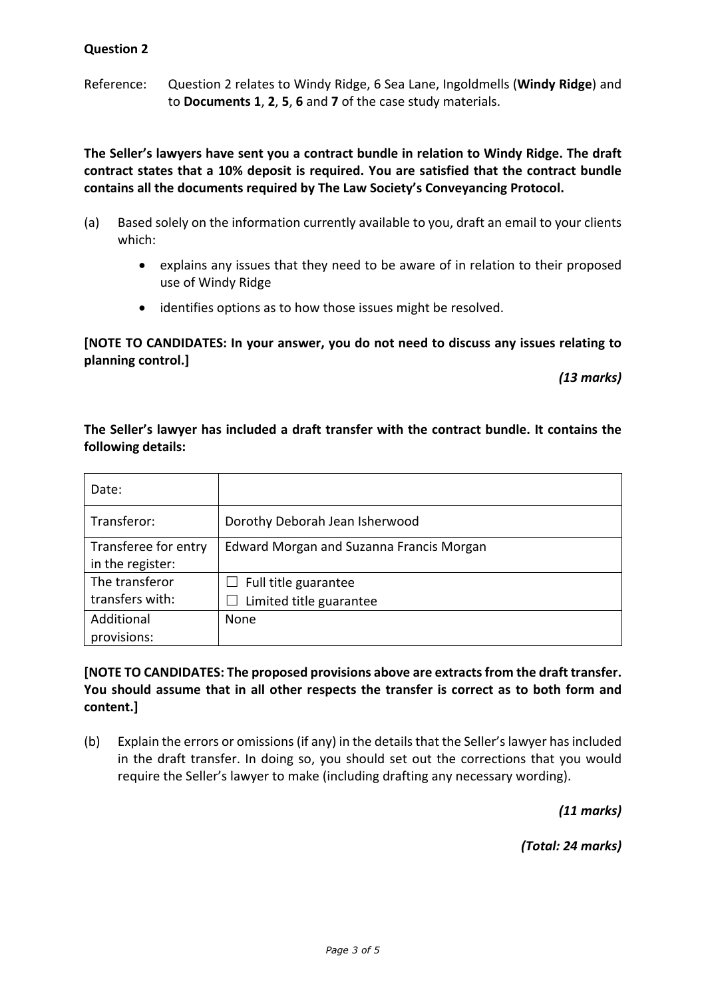Reference: Question 2 relates to Windy Ridge, 6 Sea Lane, Ingoldmells (**Windy Ridge**) and to **Documents 1**, **2**, **5**, **6** and **7** of the case study materials.

**The Seller's lawyers have sent you a contract bundle in relation to Windy Ridge. The draft contract states that a 10% deposit is required. You are satisfied that the contract bundle contains all the documents required by The Law Society's Conveyancing Protocol.**

- (a) Based solely on the information currently available to you, draft an email to your clients which:
	- explains any issues that they need to be aware of in relation to their proposed use of Windy Ridge
	- identifies options as to how those issues might be resolved.

**[NOTE TO CANDIDATES: In your answer, you do not need to discuss any issues relating to planning control.]**

*(13 marks)*

# **The Seller's lawyer has included a draft transfer with the contract bundle. It contains the following details:**

| Date:                                    |                                          |
|------------------------------------------|------------------------------------------|
| Transferor:                              | Dorothy Deborah Jean Isherwood           |
| Transferee for entry<br>in the register: | Edward Morgan and Suzanna Francis Morgan |
| The transferor                           | Full title guarantee                     |
| transfers with:                          | Limited title guarantee                  |
| Additional                               | None                                     |
| provisions:                              |                                          |

**[NOTE TO CANDIDATES: The proposed provisions above are extracts from the draft transfer. You should assume that in all other respects the transfer is correct as to both form and content.]** 

(b) Explain the errors or omissions(if any) in the details that the Seller's lawyer has included in the draft transfer. In doing so, you should set out the corrections that you would require the Seller's lawyer to make (including drafting any necessary wording).

*(11 marks)*

*(Total: 24 marks)*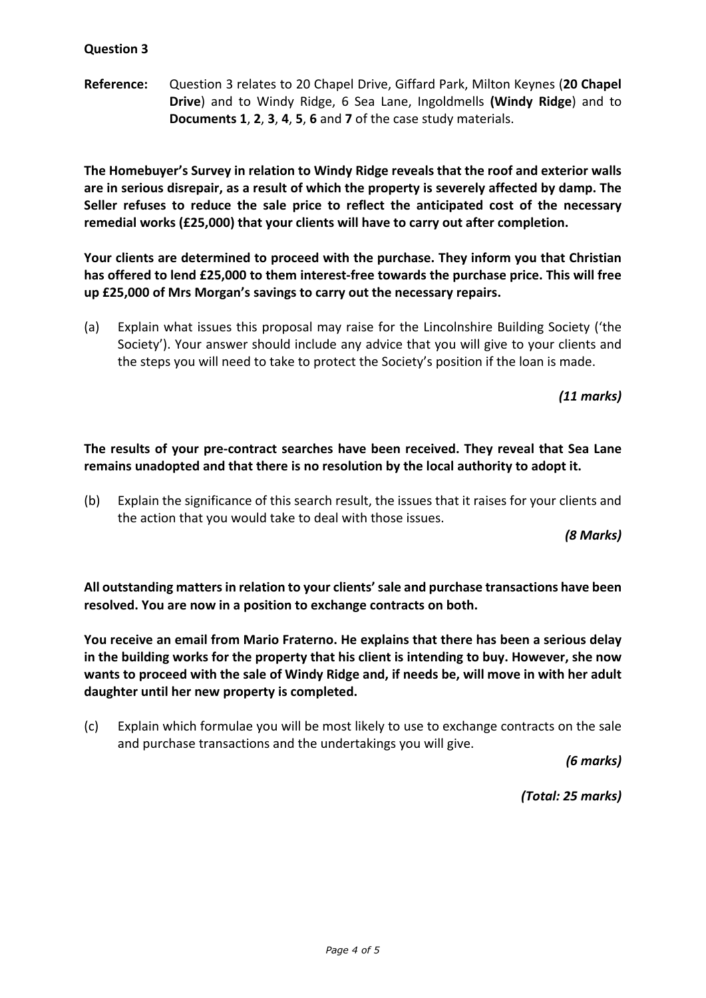**Reference:** Question 3 relates to 20 Chapel Drive, Giffard Park, Milton Keynes (**20 Chapel Drive**) and to Windy Ridge, 6 Sea Lane, Ingoldmells **(Windy Ridge**) and to **Documents 1**, **2**, **3**, **4**, **5**, **6** and **7** of the case study materials.

**The Homebuyer's Survey in relation to Windy Ridge reveals that the roof and exterior walls are in serious disrepair, as a result of which the property is severely affected by damp. The Seller refuses to reduce the sale price to reflect the anticipated cost of the necessary remedial works (£25,000) that your clients will have to carry out after completion.** 

**Your clients are determined to proceed with the purchase. They inform you that Christian has offered to lend £25,000 to them interest-free towards the purchase price. This will free up £25,000 of Mrs Morgan's savings to carry out the necessary repairs.** 

(a) Explain what issues this proposal may raise for the Lincolnshire Building Society ('the Society'). Your answer should include any advice that you will give to your clients and the steps you will need to take to protect the Society's position if the loan is made.

*(11 marks)*

# **The results of your pre-contract searches have been received. They reveal that Sea Lane remains unadopted and that there is no resolution by the local authority to adopt it.**

(b) Explain the significance of this search result, the issues that it raises for your clients and the action that you would take to deal with those issues.

*(8 Marks)*

**All outstanding matters in relation to your clients' sale and purchase transactions have been resolved. You are now in a position to exchange contracts on both.** 

**You receive an email from Mario Fraterno. He explains that there has been a serious delay in the building works for the property that his client is intending to buy. However, she now wants to proceed with the sale of Windy Ridge and, if needs be, will move in with her adult daughter until her new property is completed.**

(c) Explain which formulae you will be most likely to use to exchange contracts on the sale and purchase transactions and the undertakings you will give.

*(6 marks)*

*(Total: 25 marks)*